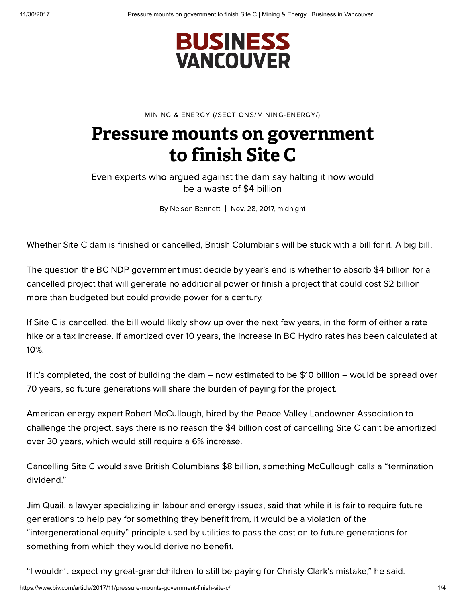

MINING & ENERGY [\(/SECTIONS/MINING-ENERGY/\)](https://www.biv.com/sections/mining-energy/)

# Pressure mounts on government to finish Site C

Even experts who argued against the dam say halting it now would be a waste of \$4 billion

By Nelson Bennett | Nov. 28, 2017, midnight

Whether Site C dam is finished or cancelled, British Columbians will be stuck with a bill for it. A big bill.

The question the BC NDP government must decide by year's end is whether to absorb \$4 billion for a cancelled project that will generate no additional power or finish a project that could cost \$2 billion more than budgeted but could provide power for a century.

If Site C is cancelled, the bill would likely show up over the next few years, in the form of either a rate hike or a tax increase. If amortized over 10 years, the increase in BC Hydro rates has been calculated at 10%.

If it's completed, the cost of building the dam – now estimated to be \$10 billion – would be spread over 70 years, so future generations will share the burden of paying for the project.

American energy expert Robert McCullough, hired by the Peace Valley Landowner Association to challenge the project, says there is no reason the \$4 billion cost of cancelling Site C can't be amortized over 30 years, which would still require a 6% increase.

Cancelling Site C would save British Columbians \$8 billion, something McCullough calls a "termination dividend."

Jim Quail, a lawyer specializing in labour and energy issues, said that while it is fair to require future generations to help pay for something they benefit from, it would be a violation of the "intergenerational equity" principle used by utilities to pass the cost on to future generations for something from which they would derive no benefit.

"I wouldn't expect my great-grandchildren to still be paying for Christy Clark's mistake," he said.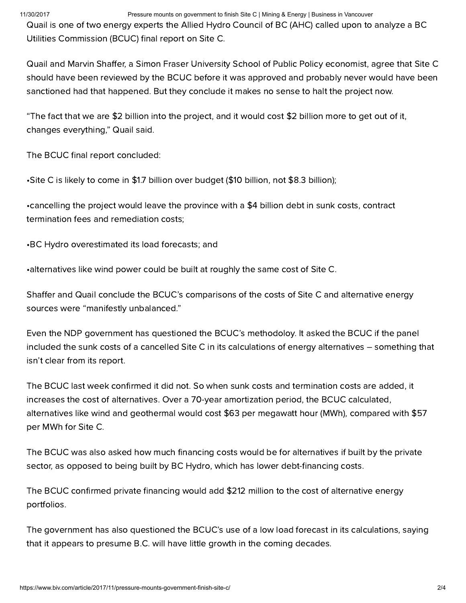### 11/30/2017 Pressure mounts on government to finish Site C | Mining & Energy | Business in Vancouver

Quail is one of two energy experts the Allied Hydro Council of BC (AHC) called upon to analyze a BC Utilities Commission (BCUC) final report on Site C.

Quail and Marvin Shaffer, a Simon Fraser University School of Public Policy economist, agree that Site C should have been reviewed by the BCUC before it was approved and probably never would have been sanctioned had that happened. But they conclude it makes no sense to halt the project now.

"The fact that we are \$2 billion into the project, and it would cost \$2 billion more to get out of it, changes everything," Quail said.

The BCUC final report concluded:

•Site C is likely to come in \$1.7 billion over budget (\$10 billion, not \$8.3 billion);

•cancelling the project would leave the province with a \$4 billion debt in sunk costs, contract termination fees and remediation costs;

•BC Hydro overestimated its load forecasts; and

•alternatives like wind power could be built at roughly the same cost of Site C.

Shaffer and Quail conclude the BCUC's comparisons of the costs of Site C and alternative energy sources were "manifestly unbalanced."

Even the NDP government has questioned the BCUC's methodoloy. It asked the BCUC if the panel included the sunk costs of a cancelled Site C in its calculations of energy alternatives – something that isn't clear from its report.

The BCUC last week confirmed it did not. So when sunk costs and termination costs are added, it increases the cost of alternatives. Over a 70-year amortization period, the BCUC calculated, alternatives like wind and geothermal would cost \$63 per megawatt hour (MWh), compared with \$57 per MWh for Site C.

The BCUC was also asked how much financing costs would be for alternatives if built by the private sector, as opposed to being built by BC Hydro, which has lower debt-financing costs.

The BCUC confirmed private financing would add \$212 million to the cost of alternative energy portfolios.

The government has also questioned the BCUC's use of a low load forecast in its calculations, saying that it appears to presume B.C. will have little growth in the coming decades.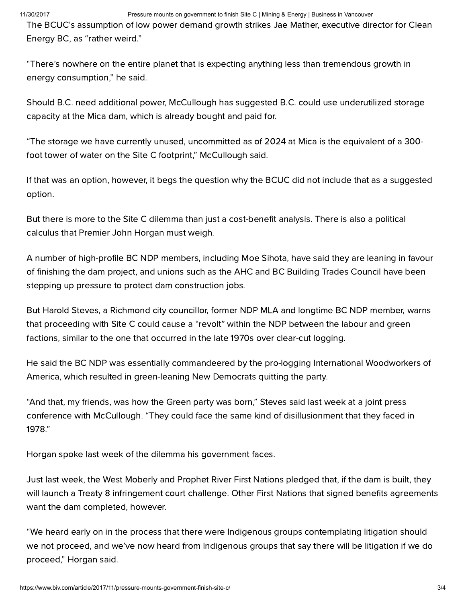#### 11/30/2017 Pressure mounts on government to finish Site C | Mining & Energy | Business in Vancouver

The BCUC's assumption of low power demand growth strikes Jae Mather, executive director for Clean Energy BC, as "rather weird."

"There's nowhere on the entire planet that is expecting anything less than tremendous growth in energy consumption," he said.

Should B.C. need additional power, McCullough has suggested B.C. could use underutilized storage capacity at the Mica dam, which is already bought and paid for.

"The storage we have currently unused, uncommitted as of 2024 at Mica is the equivalent of a 300 foot tower of water on the Site C footprint," McCullough said.

If that was an option, however, it begs the question why the BCUC did not include that as a suggested option.

But there is more to the Site C dilemma than just a cost-benefit analysis. There is also a political calculus that Premier John Horgan must weigh.

A number of high-profile BC NDP members, including Moe Sihota, have said they are leaning in favour of finishing the dam project, and unions such as the AHC and BC Building Trades Council have been stepping up pressure to protect dam construction jobs.

But Harold Steves, a Richmond city councillor, former NDP MLA and longtime BC NDP member, warns that proceeding with Site C could cause a "revolt" within the NDP between the labour and green factions, similar to the one that occurred in the late 1970s over clear-cut logging.

He said the BC NDP was essentially commandeered by the pro-logging International Woodworkers of America, which resulted in green-leaning New Democrats quitting the party.

"And that, my friends, was how the Green party was born," Steves said last week at a joint press conference with McCullough. "They could face the same kind of disillusionment that they faced in 1978."

Horgan spoke last week of the dilemma his government faces.

Just last week, the West Moberly and Prophet River First Nations pledged that, if the dam is built, they will launch a Treaty 8 infringement court challenge. Other First Nations that signed benefits agreements want the dam completed, however.

"We heard early on in the process that there were Indigenous groups contemplating litigation should we not proceed, and we've now heard from Indigenous groups that say there will be litigation if we do proceed," Horgan said.